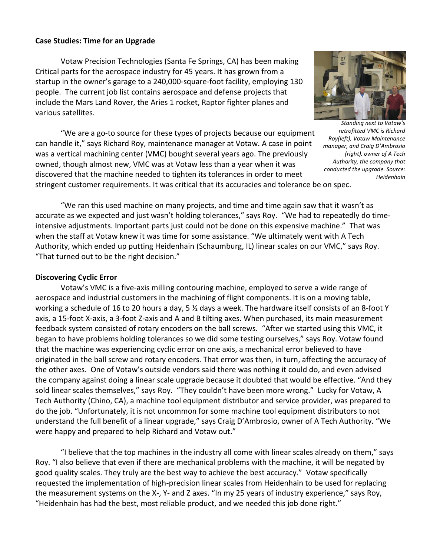# **Case Studies: Time for an Upgrade**

Votaw Precision Technologies (Santa Fe Springs, CA) has been making Critical parts for the aerospace industry for 45 years. It has grown from a startup in the owner's garage to a 240,000-square-foot facility, employing 130 people. The current job list contains aerospace and defense projects that include the Mars Land Rover, the Aries 1 rocket, Raptor fighter planes and various satellites.

"We are a go-to source for these types of projects because our equipment can handle it," says Richard Roy, maintenance manager at Votaw. A case in point was a vertical machining center (VMC) bought several years ago. The previously owned, though almost new, VMC was at Votaw less than a year when it was discovered that the machine needed to tighten its tolerances in order to meet stringent customer requirements. It was critical that its accuracies and tolerance be on spec.



*Standing next to Votaw's retrofitted VMC is Richard Roy(left), Votaw Maintenance manager, and Craig D'Ambrosio (right), owner of A Tech Authority, the company that conducted the upgrade. Source: Heidenhain*

"We ran this used machine on many projects, and time and time again saw that it wasn't as accurate as we expected and just wasn't holding tolerances," says Roy. "We had to repeatedly do timeintensive adjustments. Important parts just could not be done on this expensive machine." That was when the staff at Votaw knew it was time for some assistance. "We ultimately went with A Tech Authority, which ended up putting Heidenhain (Schaumburg, IL) linear scales on our VMC," says Roy. "That turned out to be the right decision."

# **Discovering Cyclic Error**

Votaw's VMC is a five-axis milling contouring machine, employed to serve a wide range of aerospace and industrial customers in the machining of flight components. It is on a moving table, working a schedule of 16 to 20 hours a day, 5 ½ days a week. The hardware itself consists of an 8-foot Y axis, a 15-foot X-axis, a 3-foot Z-axis and A and B tilting axes. When purchased, its main measurement feedback system consisted of rotary encoders on the ball screws. "After we started using this VMC, it began to have problems holding tolerances so we did some testing ourselves," says Roy. Votaw found that the machine was experiencing cyclic error on one axis, a mechanical error believed to have originated in the ball screw and rotary encoders. That error was then, in turn, affecting the accuracy of the other axes. One of Votaw's outside vendors said there was nothing it could do, and even advised the company against doing a linear scale upgrade because it doubted that would be effective. "And they sold linear scales themselves," says Roy. "They couldn't have been more wrong." Lucky for Votaw, A Tech Authority (Chino, CA), a machine tool equipment distributor and service provider, was prepared to do the job. "Unfortunately, it is not uncommon for some machine tool equipment distributors to not understand the full benefit of a linear upgrade," says Craig D'Ambrosio, owner of A Tech Authority. "We were happy and prepared to help Richard and Votaw out."

"I believe that the top machines in the industry all come with linear scales already on them," says Roy. "I also believe that even if there are mechanical problems with the machine, it will be negated by good quality scales. They truly are the best way to achieve the best accuracy." Votaw specifically requested the implementation of high-precision linear scales from Heidenhain to be used for replacing the measurement systems on the X-, Y- and Z axes. "In my 25 years of industry experience," says Roy, "Heidenhain has had the best, most reliable product, and we needed this job done right."